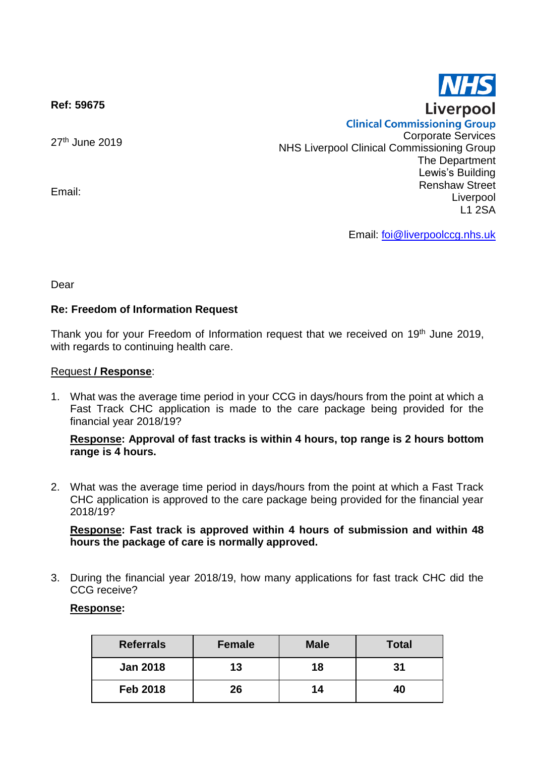**Ref: 59675**

27<sup>th</sup> June 2019

Email:

**Clinical Commissioning Group** Corporate Services NHS Liverpool Clinical Commissioning Group The Department Lewis's Building Renshaw Street Liverpool L1 2SA

Email: [foi@liverpoolccg.nhs.uk](mailto:foi@liverpoolccg.nhs.uk)

Dear

## **Re: Freedom of Information Request**

Thank you for your Freedom of Information request that we received on 19<sup>th</sup> June 2019, with regards to continuing health care.

#### Request **/ Response**:

1. What was the average time period in your CCG in days/hours from the point at which a Fast Track CHC application is made to the care package being provided for the financial year 2018/19?

### **Response: Approval of fast tracks is within 4 hours, top range is 2 hours bottom range is 4 hours.**

2. What was the average time period in days/hours from the point at which a Fast Track CHC application is approved to the care package being provided for the financial year 2018/19?

### **Response: Fast track is approved within 4 hours of submission and within 48 hours the package of care is normally approved.**

3. During the financial year 2018/19, how many applications for fast track CHC did the CCG receive?

### **Response:**

| <b>Referrals</b> | <b>Female</b> | <b>Male</b> | <b>Total</b> |
|------------------|---------------|-------------|--------------|
| <b>Jan 2018</b>  | 13            | 18          | 31           |
| <b>Feb 2018</b>  | 26            | 14          |              |

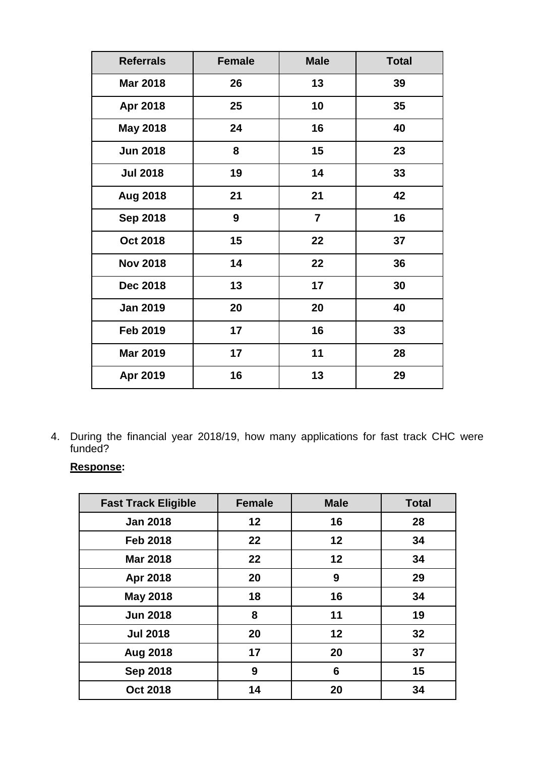| <b>Referrals</b> | <b>Female</b> | <b>Male</b>    | <b>Total</b> |
|------------------|---------------|----------------|--------------|
| <b>Mar 2018</b>  | 26            | 13             | 39           |
| Apr 2018         | 25            | 10             | 35           |
| <b>May 2018</b>  | 24            | 16             | 40           |
| <b>Jun 2018</b>  | 8             | 15             | 23           |
| <b>Jul 2018</b>  | 19            | 14             | 33           |
| <b>Aug 2018</b>  | 21            | 21             | 42           |
| <b>Sep 2018</b>  | 9             | $\overline{7}$ | 16           |
| <b>Oct 2018</b>  | 15            | 22             | 37           |
| <b>Nov 2018</b>  | 14            | 22             | 36           |
| <b>Dec 2018</b>  | 13            | 17             | 30           |
| <b>Jan 2019</b>  | 20            | 20             | 40           |
| <b>Feb 2019</b>  | 17            | 16             | 33           |
| <b>Mar 2019</b>  | 17            | 11             | 28           |
| Apr 2019         | 16            | 13             | 29           |

4. During the financial year 2018/19, how many applications for fast track CHC were funded?

# **Response:**

| <b>Fast Track Eligible</b> | <b>Female</b> | <b>Male</b> | <b>Total</b> |
|----------------------------|---------------|-------------|--------------|
| <b>Jan 2018</b>            | 12            | 16          | 28           |
| <b>Feb 2018</b>            | 22            | 12          | 34           |
| <b>Mar 2018</b>            | 22            | 12          | 34           |
| Apr 2018                   | 20            | 9           | 29           |
| <b>May 2018</b>            | 18            | 16          | 34           |
| <b>Jun 2018</b>            | 8             | 11          | 19           |
| <b>Jul 2018</b>            | 20            | 12          | 32           |
| <b>Aug 2018</b>            | 17            | 20          | 37           |
| <b>Sep 2018</b>            | 9             | 6           | 15           |
| <b>Oct 2018</b>            | 14            | 20          | 34           |